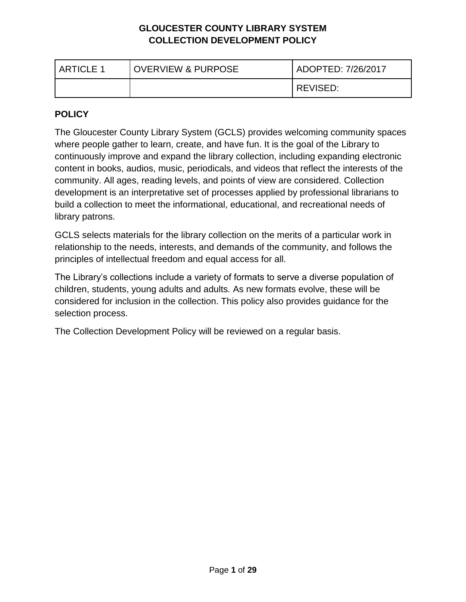| ARTICLE 1 | <b>OVERVIEW &amp; PURPOSE</b> | ADOPTED: 7/26/2017 |
|-----------|-------------------------------|--------------------|
|           |                               | REVISED:           |

## **POLICY**

The Gloucester County Library System (GCLS) provides welcoming community spaces where people gather to learn, create, and have fun. It is the goal of the Library to continuously improve and expand the library collection, including expanding electronic content in books, audios, music, periodicals, and videos that reflect the interests of the community. All ages, reading levels, and points of view are considered. Collection development is an interpretative set of processes applied by professional librarians to build a collection to meet the informational, educational, and recreational needs of library patrons.

GCLS selects materials for the library collection on the merits of a particular work in relationship to the needs, interests, and demands of the community, and follows the principles of intellectual freedom and equal access for all.

The Library's collections include a variety of formats to serve a diverse population of children, students, young adults and adults*.* As new formats evolve, these will be considered for inclusion in the collection. This policy also provides guidance for the selection process.

The Collection Development Policy will be reviewed on a regular basis.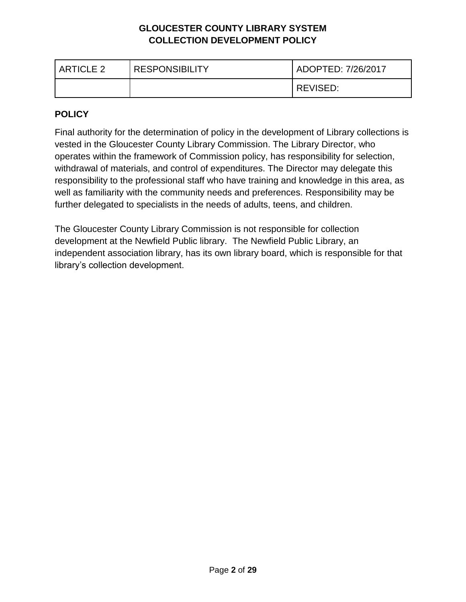| <b>ARTICLE 2</b> | <b>RESPONSIBILITY</b> | ADOPTED: 7/26/2017 |
|------------------|-----------------------|--------------------|
|                  |                       | REVISED:           |

## **POLICY**

Final authority for the determination of policy in the development of Library collections is vested in the Gloucester County Library Commission. The Library Director, who operates within the framework of Commission policy, has responsibility for selection, withdrawal of materials, and control of expenditures. The Director may delegate this responsibility to the professional staff who have training and knowledge in this area, as well as familiarity with the community needs and preferences. Responsibility may be further delegated to specialists in the needs of adults, teens, and children.

The Gloucester County Library Commission is not responsible for collection development at the Newfield Public library. The Newfield Public Library, an independent association library, has its own library board, which is responsible for that library's collection development.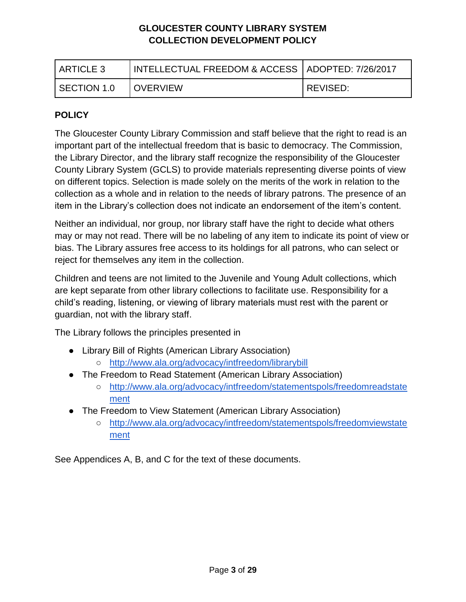| <b>ARTICLE 3</b> | INTELLECTUAL FREEDOM & ACCESS   ADOPTED: 7/26/2017 |          |
|------------------|----------------------------------------------------|----------|
| SECTION 1.0      | <b>LOVERVIEW</b>                                   | REVISED: |

## **POLICY**

The Gloucester County Library Commission and staff believe that the right to read is an important part of the intellectual freedom that is basic to democracy. The Commission, the Library Director, and the library staff recognize the responsibility of the Gloucester County Library System (GCLS) to provide materials representing diverse points of view on different topics. Selection is made solely on the merits of the work in relation to the collection as a whole and in relation to the needs of library patrons. The presence of an item in the Library's collection does not indicate an endorsement of the item's content.

Neither an individual, nor group, nor library staff have the right to decide what others may or may not read. There will be no labeling of any item to indicate its point of view or bias. The Library assures free access to its holdings for all patrons, who can select or reject for themselves any item in the collection.

Children and teens are not limited to the Juvenile and Young Adult collections, which are kept separate from other library collections to facilitate use. Responsibility for a child's reading, listening, or viewing of library materials must rest with the parent or guardian, not with the library staff.

The Library follows the principles presented in

- Library Bill of Rights (American Library Association)
	- <http://www.ala.org/advocacy/intfreedom/librarybill>
- The Freedom to Read Statement (American Library Association)
	- [http://www.ala.org/advocacy/intfreedom/statementspols/freedomreadstate](http://www.ala.org/advocacy/intfreedom/statementspols/freedomreadstatement) [ment](http://www.ala.org/advocacy/intfreedom/statementspols/freedomreadstatement)
- The Freedom to View Statement (American Library Association)
	- [http://www.ala.org/advocacy/intfreedom/statementspols/freedomviewstate](http://www.ala.org/advocacy/intfreedom/statementspols/freedomviewstatement) [ment](http://www.ala.org/advocacy/intfreedom/statementspols/freedomviewstatement)

See Appendices A, B, and C for the text of these documents.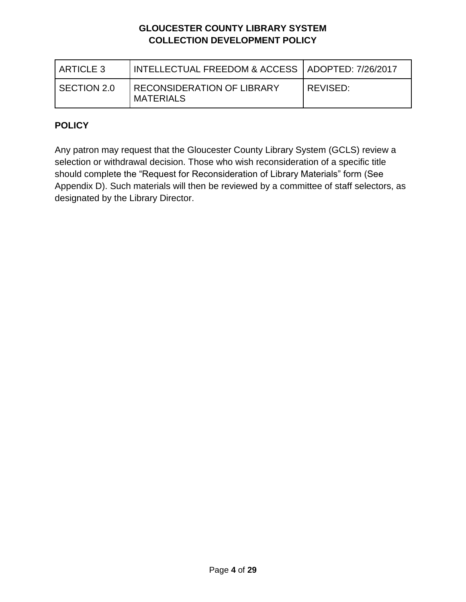| <b>ARTICLE 3</b> | INTELLECTUAL FREEDOM & ACCESS   ADOPTED: 7/26/2017      |          |
|------------------|---------------------------------------------------------|----------|
| SECTION 2.0      | <b>I RECONSIDERATION OF LIBRARY</b><br><b>MATERIALS</b> | REVISED: |

# **POLICY**

Any patron may request that the Gloucester County Library System (GCLS) review a selection or withdrawal decision. Those who wish reconsideration of a specific title should complete the "Request for Reconsideration of Library Materials" form (See Appendix D). Such materials will then be reviewed by a committee of staff selectors, as designated by the Library Director.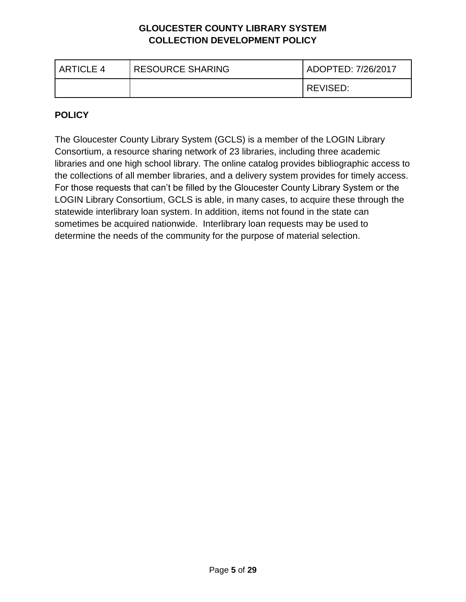| <b>ARTICLE 4</b> | <b>RESOURCE SHARING</b> | ADOPTED: 7/26/2017 |
|------------------|-------------------------|--------------------|
|                  |                         | <b>REVISED:</b>    |

## **POLICY**

The Gloucester County Library System (GCLS) is a member of the LOGIN Library Consortium, a resource sharing network of 23 libraries, including three academic libraries and one high school library. The online catalog provides bibliographic access to the collections of all member libraries, and a delivery system provides for timely access. For those requests that can't be filled by the Gloucester County Library System or the LOGIN Library Consortium, GCLS is able, in many cases, to acquire these through the statewide interlibrary loan system. In addition, items not found in the state can sometimes be acquired nationwide. Interlibrary loan requests may be used to determine the needs of the community for the purpose of material selection.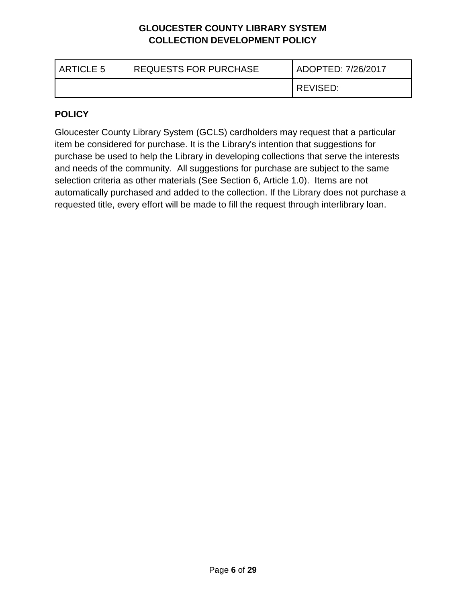| <b>ARTICLE 5</b> | <b>REQUESTS FOR PURCHASE</b> | ADOPTED: 7/26/2017 |
|------------------|------------------------------|--------------------|
|                  |                              | I REVISED:         |

## **POLICY**

Gloucester County Library System (GCLS) cardholders may request that a particular item be considered for purchase. It is the Library's intention that suggestions for purchase be used to help the Library in developing collections that serve the interests and needs of the community. All suggestions for purchase are subject to the same selection criteria as other materials (See Section 6, Article 1.0). Items are not automatically purchased and added to the collection. If the Library does not purchase a requested title, every effort will be made to fill the request through interlibrary loan.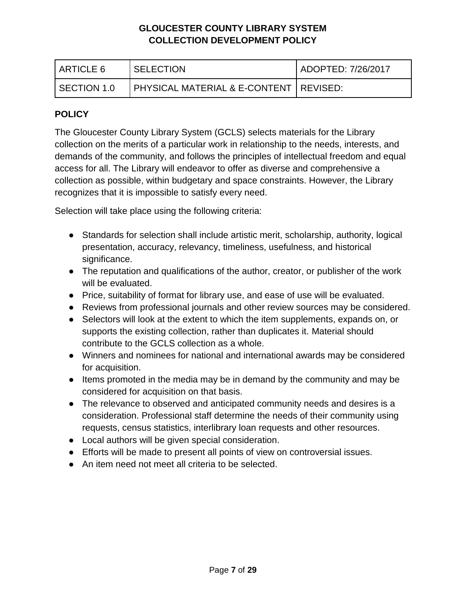| ARTICLE 6     | <b>SELECTION</b>                         | ADOPTED: 7/26/2017 |
|---------------|------------------------------------------|--------------------|
| I SECTION 1.0 | PHYSICAL MATERIAL & E-CONTENT   REVISED: |                    |

## **POLICY**

The Gloucester County Library System (GCLS) selects materials for the Library collection on the merits of a particular work in relationship to the needs, interests, and demands of the community, and follows the principles of intellectual freedom and equal access for all. The Library will endeavor to offer as diverse and comprehensive a collection as possible, within budgetary and space constraints. However, the Library recognizes that it is impossible to satisfy every need.

Selection will take place using the following criteria:

- Standards for selection shall include artistic merit, scholarship, authority, logical presentation, accuracy, relevancy, timeliness, usefulness, and historical significance.
- The reputation and qualifications of the author, creator, or publisher of the work will be evaluated.
- Price, suitability of format for library use, and ease of use will be evaluated.
- Reviews from professional journals and other review sources may be considered.
- Selectors will look at the extent to which the item supplements, expands on, or supports the existing collection, rather than duplicates it. Material should contribute to the GCLS collection as a whole.
- Winners and nominees for national and international awards may be considered for acquisition.
- Items promoted in the media may be in demand by the community and may be considered for acquisition on that basis.
- The relevance to observed and anticipated community needs and desires is a consideration. Professional staff determine the needs of their community using requests, census statistics, interlibrary loan requests and other resources.
- Local authors will be given special consideration.
- Efforts will be made to present all points of view on controversial issues.
- An item need not meet all criteria to be selected.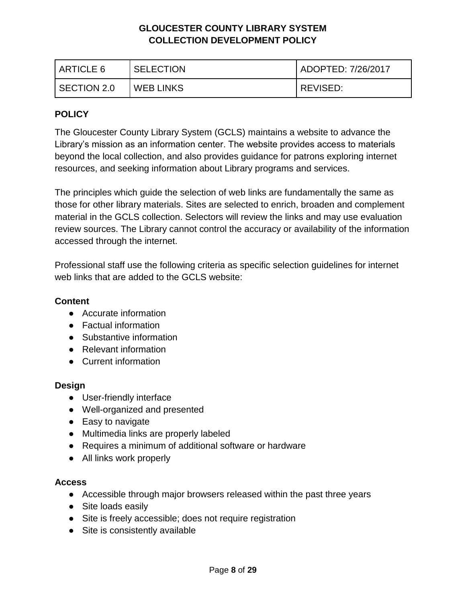| ARTICLE 6          | <b>SELECTION</b> | ADOPTED: 7/26/2017 |
|--------------------|------------------|--------------------|
| $\mid$ SECTION 2.0 | <b>WEB LINKS</b> | <b>REVISED:</b>    |

## **POLICY**

The Gloucester County Library System (GCLS) maintains a website to advance the Library's mission as an information center. The website provides access to materials beyond the local collection, and also provides guidance for patrons exploring internet resources, and seeking information about Library programs and services.

The principles which guide the selection of web links are fundamentally the same as those for other library materials. Sites are selected to enrich, broaden and complement material in the GCLS collection. Selectors will review the links and may use evaluation review sources. The Library cannot control the accuracy or availability of the information accessed through the internet.

Professional staff use the following criteria as specific selection guidelines for internet web links that are added to the GCLS website:

### **Content**

- Accurate information
- Factual information
- Substantive information
- Relevant information
- Current information

### **Design**

- User-friendly interface
- Well-organized and presented
- Easy to navigate
- Multimedia links are properly labeled
- Requires a minimum of additional software or hardware
- All links work properly

### **Access**

- Accessible through major browsers released within the past three years
- Site loads easily
- Site is freely accessible; does not require registration
- Site is consistently available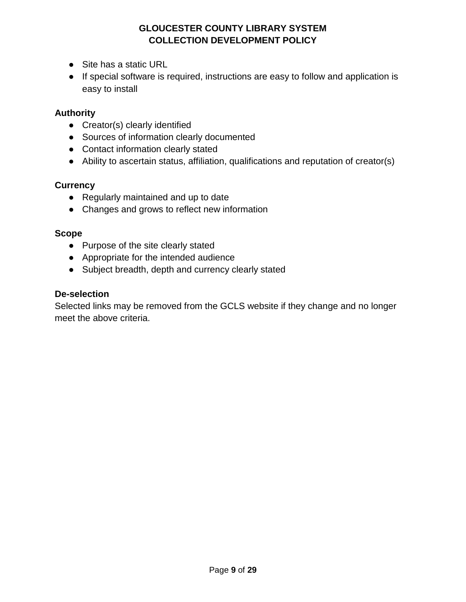- Site has a static URL
- If special software is required, instructions are easy to follow and application is easy to install

### **Authority**

- Creator(s) clearly identified
- Sources of information clearly documented
- Contact information clearly stated
- Ability to ascertain status, affiliation, qualifications and reputation of creator(s)

## **Currency**

- Regularly maintained and up to date
- Changes and grows to reflect new information

### **Scope**

- Purpose of the site clearly stated
- Appropriate for the intended audience
- Subject breadth, depth and currency clearly stated

### **De-selection**

Selected links may be removed from the GCLS website if they change and no longer meet the above criteria.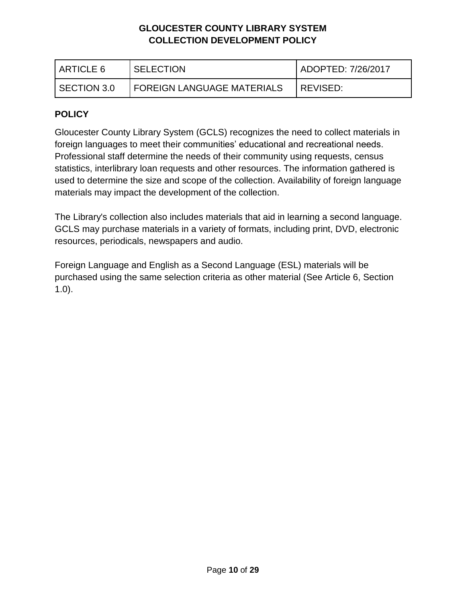| I ARTICLE 6 | <b>SELECTION</b>           | ADOPTED: 7/26/2017 |
|-------------|----------------------------|--------------------|
| SECTION 3.0 | FOREIGN LANGUAGE MATERIALS | I REVISED:         |

## **POLICY**

Gloucester County Library System (GCLS) recognizes the need to collect materials in foreign languages to meet their communities' educational and recreational needs. Professional staff determine the needs of their community using requests, census statistics, interlibrary loan requests and other resources. The information gathered is used to determine the size and scope of the collection. Availability of foreign language materials may impact the development of the collection.

The Library's collection also includes materials that aid in learning a second language. GCLS may purchase materials in a variety of formats, including print, DVD, electronic resources, periodicals, newspapers and audio.

Foreign Language and English as a Second Language (ESL) materials will be purchased using the same selection criteria as other material (See Article 6, Section 1.0).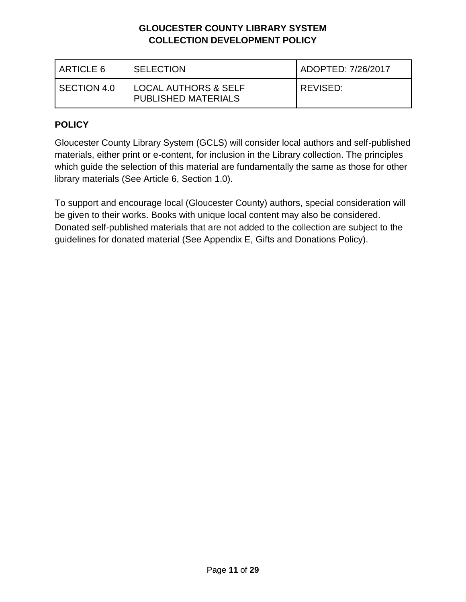| ARTICLE 6     | <b>SELECTION</b>                                     | ADOPTED: 7/26/2017 |
|---------------|------------------------------------------------------|--------------------|
| ' SECTION 4.0 | I LOCAL AUTHORS & SELF<br><b>PUBLISHED MATERIALS</b> | REVISED:           |

## **POLICY**

Gloucester County Library System (GCLS) will consider local authors and self-published materials, either print or e-content, for inclusion in the Library collection. The principles which guide the selection of this material are fundamentally the same as those for other library materials (See Article 6, Section 1.0).

To support and encourage local (Gloucester County) authors, special consideration will be given to their works. Books with unique local content may also be considered. Donated self-published materials that are not added to the collection are subject to the guidelines for donated material (See Appendix E, Gifts and Donations Policy).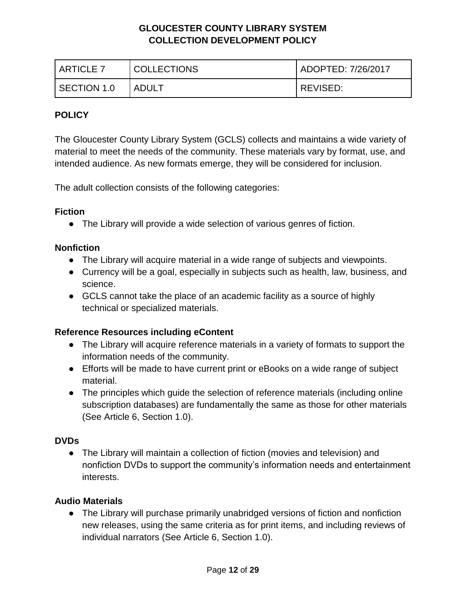| <b>ARTICLE 7</b> | COLLECTIONS  | ADOPTED: 7/26/2017 |
|------------------|--------------|--------------------|
| SECTION 1.0      | <b>ADULT</b> | <b>REVISED:</b>    |

### **POLICY**

The Gloucester County Library System (GCLS) collects and maintains a wide variety of material to meet the needs of the community. These materials vary by format, use, and intended audience. As new formats emerge, they will be considered for inclusion.

The adult collection consists of the following categories:

### **Fiction**

● The Library will provide a wide selection of various genres of fiction.

### **Nonfiction**

- The Library will acquire material in a wide range of subjects and viewpoints.
- Currency will be a goal, especially in subjects such as health, law, business, and science.
- GCLS cannot take the place of an academic facility as a source of highly technical or specialized materials.

### **Reference Resources including eContent**

- The Library will acquire reference materials in a variety of formats to support the information needs of the community.
- Efforts will be made to have current print or eBooks on a wide range of subject material.
- The principles which guide the selection of reference materials (including online subscription databases) are fundamentally the same as those for other materials (See Article 6, Section 1.0).

### **DVDs**

● The Library will maintain a collection of fiction (movies and television) and nonfiction DVDs to support the community's information needs and entertainment interests.

### **Audio Materials**

● The Library will purchase primarily unabridged versions of fiction and nonfiction new releases, using the same criteria as for print items, and including reviews of individual narrators (See Article 6, Section 1.0).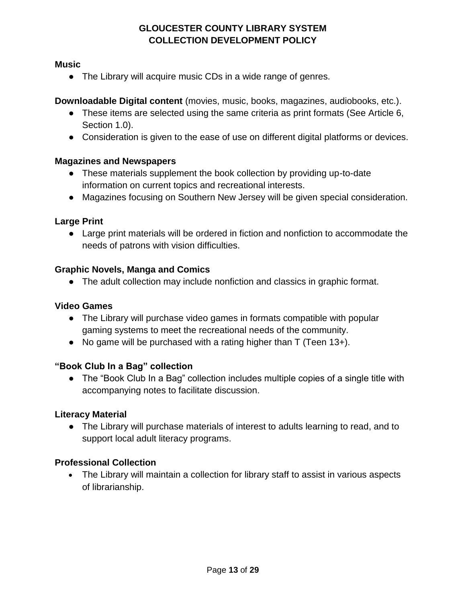### **Music**

● The Library will acquire music CDs in a wide range of genres.

**Downloadable Digital content** (movies, music, books, magazines, audiobooks, etc.).

- These items are selected using the same criteria as print formats (See Article 6, Section 1.0).
- Consideration is given to the ease of use on different digital platforms or devices.

### **Magazines and Newspapers**

- These materials supplement the book collection by providing up-to-date information on current topics and recreational interests.
- Magazines focusing on Southern New Jersey will be given special consideration.

### **Large Print**

● Large print materials will be ordered in fiction and nonfiction to accommodate the needs of patrons with vision difficulties.

### **Graphic Novels, Manga and Comics**

• The adult collection may include nonfiction and classics in graphic format.

### **Video Games**

- The Library will purchase video games in formats compatible with popular gaming systems to meet the recreational needs of the community.
- No game will be purchased with a rating higher than T (Teen 13+).

### **"Book Club In a Bag" collection**

● The "Book Club In a Bag" collection includes multiple copies of a single title with accompanying notes to facilitate discussion.

### **Literacy Material**

● The Library will purchase materials of interest to adults learning to read, and to support local adult literacy programs.

### **Professional Collection**

 The Library will maintain a collection for library staff to assist in various aspects of librarianship.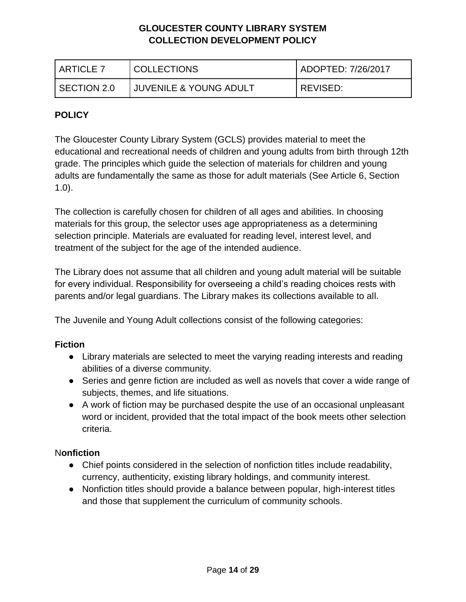| ARTICLE 7   | <b>COLLECTIONS</b>                | ADOPTED: 7/26/2017 |
|-------------|-----------------------------------|--------------------|
| SECTION 2.0 | <b>JUVENILE &amp; YOUNG ADULT</b> | <b>REVISED:</b>    |

### **POLICY**

The Gloucester County Library System (GCLS) provides material to meet the educational and recreational needs of children and young adults from birth through 12th grade. The principles which guide the selection of materials for children and young adults are fundamentally the same as those for adult materials (See Article 6, Section 1.0).

The collection is carefully chosen for children of all ages and abilities. In choosing materials for this group, the selector uses age appropriateness as a determining selection principle. Materials are evaluated for reading level, interest level, and treatment of the subject for the age of the intended audience.

The Library does not assume that all children and young adult material will be suitable for every individual. Responsibility for overseeing a child's reading choices rests with parents and/or legal guardians. The Library makes its collections available to all.

The Juvenile and Young Adult collections consist of the following categories:

## **Fiction**

- Library materials are selected to meet the varying reading interests and reading abilities of a diverse community.
- Series and genre fiction are included as well as novels that cover a wide range of subjects, themes, and life situations.
- A work of fiction may be purchased despite the use of an occasional unpleasant word or incident, provided that the total impact of the book meets other selection criteria.

### N**onfiction**

- Chief points considered in the selection of nonfiction titles include readability, currency, authenticity, existing library holdings, and community interest.
- Nonfiction titles should provide a balance between popular, high-interest titles and those that supplement the curriculum of community schools.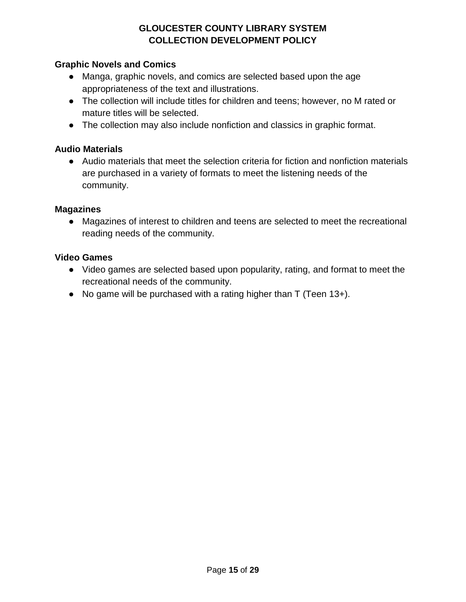### **Graphic Novels and Comics**

- Manga, graphic novels, and comics are selected based upon the age appropriateness of the text and illustrations.
- The collection will include titles for children and teens; however, no M rated or mature titles will be selected.
- The collection may also include nonfiction and classics in graphic format.

### **Audio Materials**

● Audio materials that meet the selection criteria for fiction and nonfiction materials are purchased in a variety of formats to meet the listening needs of the community.

#### **Magazines**

● Magazines of interest to children and teens are selected to meet the recreational reading needs of the community.

### **Video Games**

- Video games are selected based upon popularity, rating, and format to meet the recreational needs of the community.
- No game will be purchased with a rating higher than T (Teen 13+).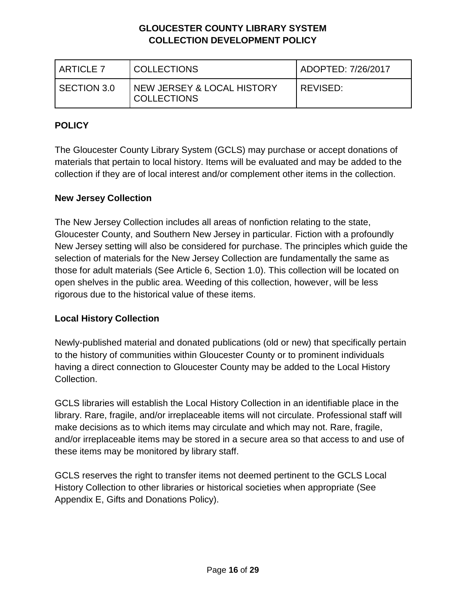| <b>ARTICLE 7</b> | <b>COLLECTIONS</b>                               | ADOPTED: 7/26/2017 |
|------------------|--------------------------------------------------|--------------------|
| SECTION 3.0      | NEW JERSEY & LOCAL HISTORY<br><b>COLLECTIONS</b> | <b>REVISED:</b>    |

## **POLICY**

The Gloucester County Library System (GCLS) may purchase or accept donations of materials that pertain to local history. Items will be evaluated and may be added to the collection if they are of local interest and/or complement other items in the collection.

### **New Jersey Collection**

The New Jersey Collection includes all areas of nonfiction relating to the state, Gloucester County, and Southern New Jersey in particular. Fiction with a profoundly New Jersey setting will also be considered for purchase. The principles which guide the selection of materials for the New Jersey Collection are fundamentally the same as those for adult materials (See Article 6, Section 1.0). This collection will be located on open shelves in the public area. Weeding of this collection, however, will be less rigorous due to the historical value of these items.

### **Local History Collection**

Newly-published material and donated publications (old or new) that specifically pertain to the history of communities within Gloucester County or to prominent individuals having a direct connection to Gloucester County may be added to the Local History Collection.

GCLS libraries will establish the Local History Collection in an identifiable place in the library. Rare, fragile, and/or irreplaceable items will not circulate. Professional staff will make decisions as to which items may circulate and which may not. Rare, fragile, and/or irreplaceable items may be stored in a secure area so that access to and use of these items may be monitored by library staff.

GCLS reserves the right to transfer items not deemed pertinent to the GCLS Local History Collection to other libraries or historical societies when appropriate (See Appendix E, Gifts and Donations Policy).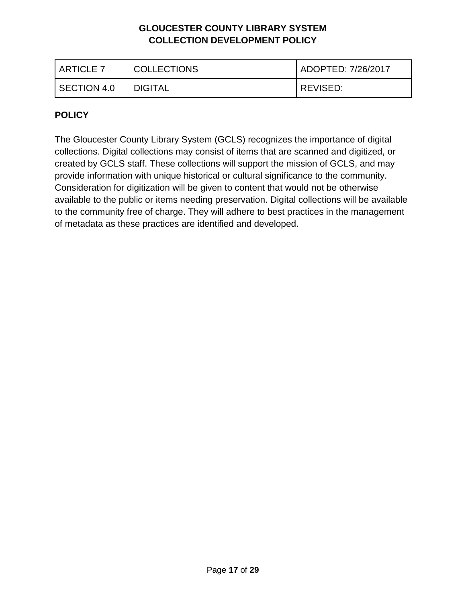| <b>ARTICLE 7</b> | <b>COLLECTIONS</b> | ADOPTED: 7/26/2017 |
|------------------|--------------------|--------------------|
| SECTION 4.0      | <b>I DIGITAL</b>   | REVISED:           |

## **POLICY**

The Gloucester County Library System (GCLS) recognizes the importance of digital collections. Digital collections may consist of items that are scanned and digitized, or created by GCLS staff. These collections will support the mission of GCLS, and may provide information with unique historical or cultural significance to the community. Consideration for digitization will be given to content that would not be otherwise available to the public or items needing preservation. Digital collections will be available to the community free of charge. They will adhere to best practices in the management of metadata as these practices are identified and developed.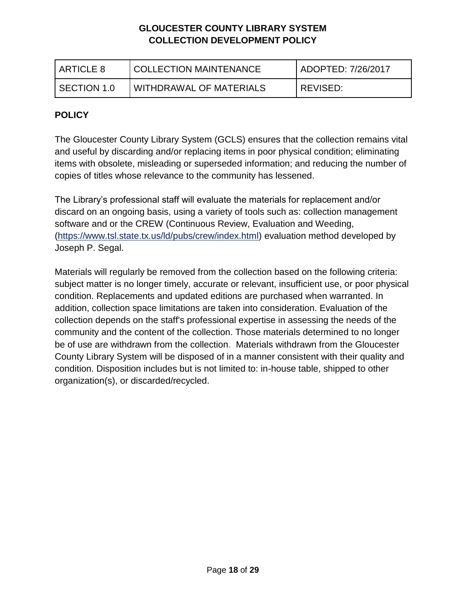| ARTICLE 8     | I COLLECTION MAINTENANCE | ADOPTED: 7/26/2017 |
|---------------|--------------------------|--------------------|
| I SECTION 1.0 | WITHDRAWAL OF MATERIALS  | REVISED:           |

## **POLICY**

The Gloucester County Library System (GCLS) ensures that the collection remains vital and useful by discarding and/or replacing items in poor physical condition; eliminating items with obsolete, misleading or superseded information; and reducing the number of copies of titles whose relevance to the community has lessened.

The Library's professional staff will evaluate the materials for replacement and/or discard on an ongoing basis, using a variety of tools such as: collection management software and or the CREW (Continuous Review, Evaluation and Weeding, [\(https://www.tsl.state.tx.us/ld/pubs/crew/index.html\)](https://www.tsl.state.tx.us/ld/pubs/crew/index.html) evaluation method developed by Joseph P. Segal.

Materials will regularly be removed from the collection based on the following criteria: subject matter is no longer timely, accurate or relevant, insufficient use, or poor physical condition. Replacements and updated editions are purchased when warranted. In addition, collection space limitations are taken into consideration. Evaluation of the collection depends on the staff's professional expertise in assessing the needs of the community and the content of the collection. Those materials determined to no longer be of use are withdrawn from the collection. Materials withdrawn from the Gloucester County Library System will be disposed of in a manner consistent with their quality and condition. Disposition includes but is not limited to: in-house table, shipped to other organization(s), or discarded/recycled.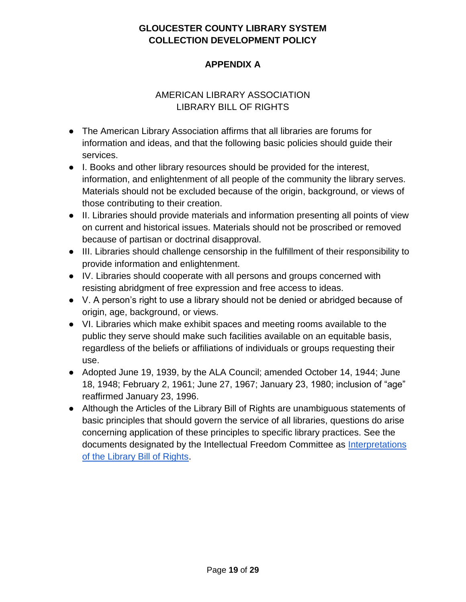## **APPENDIX A**

# AMERICAN LIBRARY ASSOCIATION LIBRARY BILL OF RIGHTS

- The American Library Association affirms that all libraries are forums for information and ideas, and that the following basic policies should guide their services.
- I. Books and other library resources should be provided for the interest, information, and enlightenment of all people of the community the library serves. Materials should not be excluded because of the origin, background, or views of those contributing to their creation.
- II. Libraries should provide materials and information presenting all points of view on current and historical issues. Materials should not be proscribed or removed because of partisan or doctrinal disapproval.
- III. Libraries should challenge censorship in the fulfillment of their responsibility to provide information and enlightenment.
- IV. Libraries should cooperate with all persons and groups concerned with resisting abridgment of free expression and free access to ideas.
- V. A person's right to use a library should not be denied or abridged because of origin, age, background, or views.
- VI. Libraries which make exhibit spaces and meeting rooms available to the public they serve should make such facilities available on an equitable basis, regardless of the beliefs or affiliations of individuals or groups requesting their use.
- Adopted June 19, 1939, by the ALA Council; amended October 14, 1944; June 18, 1948; February 2, 1961; June 27, 1967; January 23, 1980; inclusion of "age" reaffirmed January 23, 1996.
- Although the Articles of the Library Bill of Rights are unambiguous statements of basic principles that should govern the service of all libraries, questions do arise concerning application of these principles to specific library practices. See the documents designated by the Intellectual Freedom Committee as [Interpretations](http://www.ala.org/advocacy/intfreedom/librarybill/interpretations)  [of the Library Bill of Rights.](http://www.ala.org/advocacy/intfreedom/librarybill/interpretations)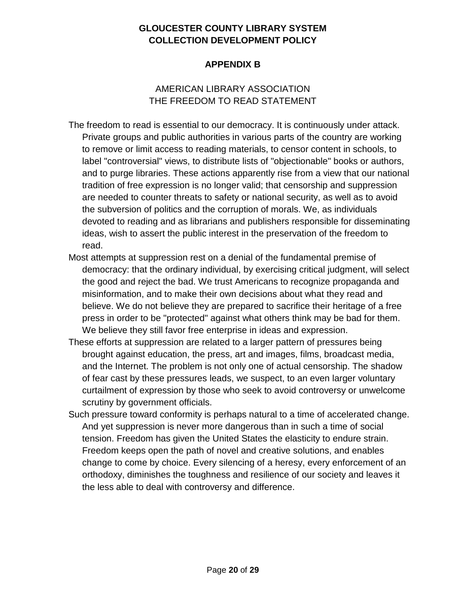## **APPENDIX B**

# AMERICAN LIBRARY ASSOCIATION THE FREEDOM TO READ STATEMENT

- The freedom to read is essential to our democracy. It is continuously under attack. Private groups and public authorities in various parts of the country are working to remove or limit access to reading materials, to censor content in schools, to label "controversial" views, to distribute lists of "objectionable" books or authors, and to purge libraries. These actions apparently rise from a view that our national tradition of free expression is no longer valid; that censorship and suppression are needed to counter threats to safety or national security, as well as to avoid the subversion of politics and the corruption of morals. We, as individuals devoted to reading and as librarians and publishers responsible for disseminating ideas, wish to assert the public interest in the preservation of the freedom to read.
- Most attempts at suppression rest on a denial of the fundamental premise of democracy: that the ordinary individual, by exercising critical judgment, will select the good and reject the bad. We trust Americans to recognize propaganda and misinformation, and to make their own decisions about what they read and believe. We do not believe they are prepared to sacrifice their heritage of a free press in order to be "protected" against what others think may be bad for them. We believe they still favor free enterprise in ideas and expression.
- These efforts at suppression are related to a larger pattern of pressures being brought against education, the press, art and images, films, broadcast media, and the Internet. The problem is not only one of actual censorship. The shadow of fear cast by these pressures leads, we suspect, to an even larger voluntary curtailment of expression by those who seek to avoid controversy or unwelcome scrutiny by government officials.
- Such pressure toward conformity is perhaps natural to a time of accelerated change. And yet suppression is never more dangerous than in such a time of social tension. Freedom has given the United States the elasticity to endure strain. Freedom keeps open the path of novel and creative solutions, and enables change to come by choice. Every silencing of a heresy, every enforcement of an orthodoxy, diminishes the toughness and resilience of our society and leaves it the less able to deal with controversy and difference.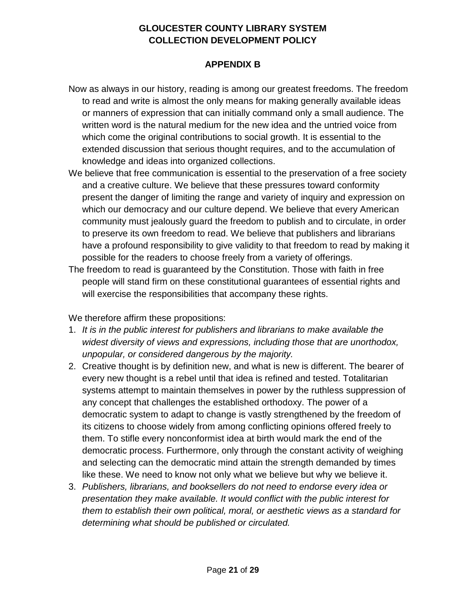## **APPENDIX B**

- Now as always in our history, reading is among our greatest freedoms. The freedom to read and write is almost the only means for making generally available ideas or manners of expression that can initially command only a small audience. The written word is the natural medium for the new idea and the untried voice from which come the original contributions to social growth. It is essential to the extended discussion that serious thought requires, and to the accumulation of knowledge and ideas into organized collections.
- We believe that free communication is essential to the preservation of a free society and a creative culture. We believe that these pressures toward conformity present the danger of limiting the range and variety of inquiry and expression on which our democracy and our culture depend. We believe that every American community must jealously guard the freedom to publish and to circulate, in order to preserve its own freedom to read. We believe that publishers and librarians have a profound responsibility to give validity to that freedom to read by making it possible for the readers to choose freely from a variety of offerings.
- The freedom to read is guaranteed by the Constitution. Those with faith in free people will stand firm on these constitutional guarantees of essential rights and will exercise the responsibilities that accompany these rights.

We therefore affirm these propositions:

- 1. *It is in the public interest for publishers and librarians to make available the widest diversity of views and expressions, including those that are unorthodox, unpopular, or considered dangerous by the majority.*
- 2. Creative thought is by definition new, and what is new is different. The bearer of every new thought is a rebel until that idea is refined and tested. Totalitarian systems attempt to maintain themselves in power by the ruthless suppression of any concept that challenges the established orthodoxy. The power of a democratic system to adapt to change is vastly strengthened by the freedom of its citizens to choose widely from among conflicting opinions offered freely to them. To stifle every nonconformist idea at birth would mark the end of the democratic process. Furthermore, only through the constant activity of weighing and selecting can the democratic mind attain the strength demanded by times like these. We need to know not only what we believe but why we believe it.
- 3. *Publishers, librarians, and booksellers do not need to endorse every idea or presentation they make available. It would conflict with the public interest for them to establish their own political, moral, or aesthetic views as a standard for determining what should be published or circulated.*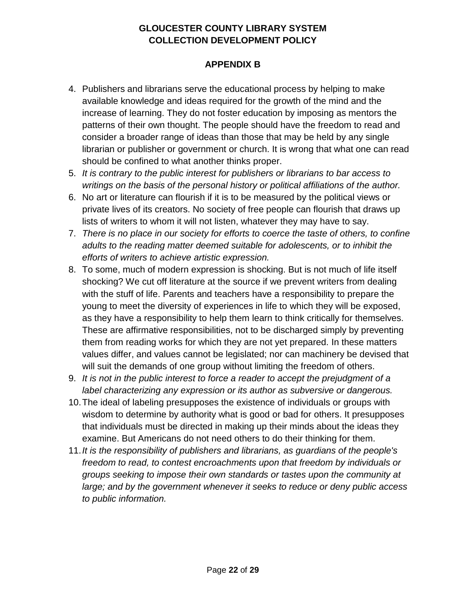## **APPENDIX B**

- 4. Publishers and librarians serve the educational process by helping to make available knowledge and ideas required for the growth of the mind and the increase of learning. They do not foster education by imposing as mentors the patterns of their own thought. The people should have the freedom to read and consider a broader range of ideas than those that may be held by any single librarian or publisher or government or church. It is wrong that what one can read should be confined to what another thinks proper.
- 5. *It is contrary to the public interest for publishers or librarians to bar access to writings on the basis of the personal history or political affiliations of the author.*
- 6. No art or literature can flourish if it is to be measured by the political views or private lives of its creators. No society of free people can flourish that draws up lists of writers to whom it will not listen, whatever they may have to say.
- 7. *There is no place in our society for efforts to coerce the taste of others, to confine adults to the reading matter deemed suitable for adolescents, or to inhibit the efforts of writers to achieve artistic expression.*
- 8. To some, much of modern expression is shocking. But is not much of life itself shocking? We cut off literature at the source if we prevent writers from dealing with the stuff of life. Parents and teachers have a responsibility to prepare the young to meet the diversity of experiences in life to which they will be exposed, as they have a responsibility to help them learn to think critically for themselves. These are affirmative responsibilities, not to be discharged simply by preventing them from reading works for which they are not yet prepared. In these matters values differ, and values cannot be legislated; nor can machinery be devised that will suit the demands of one group without limiting the freedom of others.
- 9. *It is not in the public interest to force a reader to accept the prejudgment of a label characterizing any expression or its author as subversive or dangerous.*
- 10.The ideal of labeling presupposes the existence of individuals or groups with wisdom to determine by authority what is good or bad for others. It presupposes that individuals must be directed in making up their minds about the ideas they examine. But Americans do not need others to do their thinking for them.
- 11.*It is the responsibility of publishers and librarians, as guardians of the people's freedom to read, to contest encroachments upon that freedom by individuals or groups seeking to impose their own standards or tastes upon the community at large; and by the government whenever it seeks to reduce or deny public access to public information.*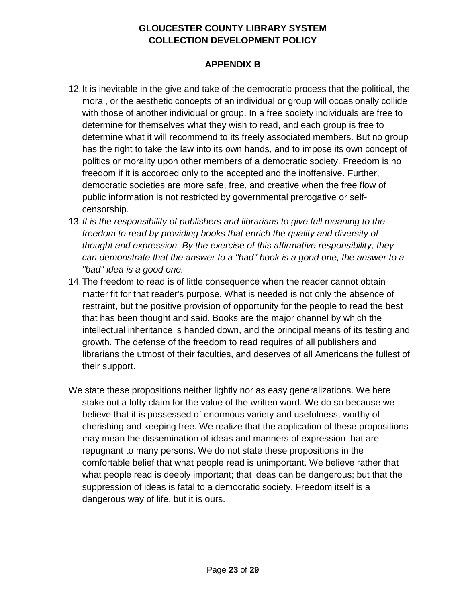## **APPENDIX B**

- 12.It is inevitable in the give and take of the democratic process that the political, the moral, or the aesthetic concepts of an individual or group will occasionally collide with those of another individual or group. In a free society individuals are free to determine for themselves what they wish to read, and each group is free to determine what it will recommend to its freely associated members. But no group has the right to take the law into its own hands, and to impose its own concept of politics or morality upon other members of a democratic society. Freedom is no freedom if it is accorded only to the accepted and the inoffensive. Further, democratic societies are more safe, free, and creative when the free flow of public information is not restricted by governmental prerogative or selfcensorship.
- 13.*It is the responsibility of publishers and librarians to give full meaning to the freedom to read by providing books that enrich the quality and diversity of thought and expression. By the exercise of this affirmative responsibility, they can demonstrate that the answer to a "bad" book is a good one, the answer to a "bad" idea is a good one.*
- 14.The freedom to read is of little consequence when the reader cannot obtain matter fit for that reader's purpose. What is needed is not only the absence of restraint, but the positive provision of opportunity for the people to read the best that has been thought and said. Books are the major channel by which the intellectual inheritance is handed down, and the principal means of its testing and growth. The defense of the freedom to read requires of all publishers and librarians the utmost of their faculties, and deserves of all Americans the fullest of their support.
- We state these propositions neither lightly nor as easy generalizations. We here stake out a lofty claim for the value of the written word. We do so because we believe that it is possessed of enormous variety and usefulness, worthy of cherishing and keeping free. We realize that the application of these propositions may mean the dissemination of ideas and manners of expression that are repugnant to many persons. We do not state these propositions in the comfortable belief that what people read is unimportant. We believe rather that what people read is deeply important; that ideas can be dangerous; but that the suppression of ideas is fatal to a democratic society. Freedom itself is a dangerous way of life, but it is ours.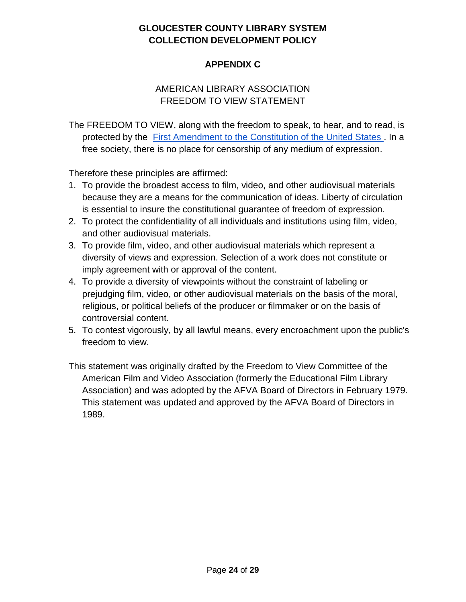## **APPENDIX C**

# AMERICAN LIBRARY ASSOCIATION FREEDOM TO VIEW STATEMENT

The FREEDOM TO VIEW, along with the freedom to speak, to hear, and to read, is protected by the [First Amendment to the Constitution of the United States](http://www.ala.org/advocacy/intfreedom/censorshipfirstamendmentissues/firstamendment) . In a free society, there is no place for censorship of any medium of expression.

Therefore these principles are affirmed:

- 1. To provide the broadest access to film, video, and other audiovisual materials because they are a means for the communication of ideas. Liberty of circulation is essential to insure the constitutional guarantee of freedom of expression.
- 2. To protect the confidentiality of all individuals and institutions using film, video, and other audiovisual materials.
- 3. To provide film, video, and other audiovisual materials which represent a diversity of views and expression. Selection of a work does not constitute or imply agreement with or approval of the content.
- 4. To provide a diversity of viewpoints without the constraint of labeling or prejudging film, video, or other audiovisual materials on the basis of the moral, religious, or political beliefs of the producer or filmmaker or on the basis of controversial content.
- 5. To contest vigorously, by all lawful means, every encroachment upon the public's freedom to view.

This statement was originally drafted by the Freedom to View Committee of the American Film and Video Association (formerly the Educational Film Library Association) and was adopted by the AFVA Board of Directors in February 1979. This statement was updated and approved by the AFVA Board of Directors in 1989.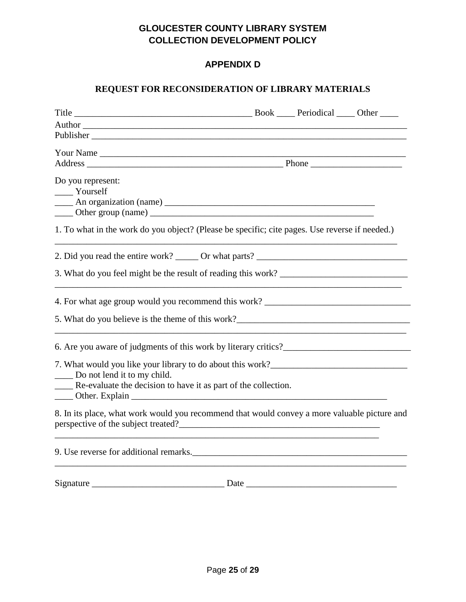## **APPENDIX D**

## **REQUEST FOR RECONSIDERATION OF LIBRARY MATERIALS**

| Your Name                                                                                                                           |  |  |  |
|-------------------------------------------------------------------------------------------------------------------------------------|--|--|--|
|                                                                                                                                     |  |  |  |
| Do you represent:                                                                                                                   |  |  |  |
| ___ Yourself                                                                                                                        |  |  |  |
|                                                                                                                                     |  |  |  |
|                                                                                                                                     |  |  |  |
| 1. To what in the work do you object? (Please be specific; cite pages. Use reverse if needed.)                                      |  |  |  |
| 2. Did you read the entire work? _______ Or what parts? _________________________                                                   |  |  |  |
|                                                                                                                                     |  |  |  |
| and the control of the control of the control of the control of the control of the control of the control of the                    |  |  |  |
|                                                                                                                                     |  |  |  |
|                                                                                                                                     |  |  |  |
|                                                                                                                                     |  |  |  |
| 7. What would you like your library to do about this work?_______________________                                                   |  |  |  |
| Do not lend it to my child.                                                                                                         |  |  |  |
| Re-evaluate the decision to have it as part of the collection.                                                                      |  |  |  |
|                                                                                                                                     |  |  |  |
| 8. In its place, what work would you recommend that would convey a more valuable picture and<br>perspective of the subject treated? |  |  |  |
| 9. Use reverse for additional remarks.                                                                                              |  |  |  |
|                                                                                                                                     |  |  |  |

Signature \_\_\_\_\_\_\_\_\_\_\_\_\_\_\_\_\_\_\_\_\_\_\_\_\_\_\_\_\_ Date \_\_\_\_\_\_\_\_\_\_\_\_\_\_\_\_\_\_\_\_\_\_\_\_\_\_\_\_\_\_\_\_\_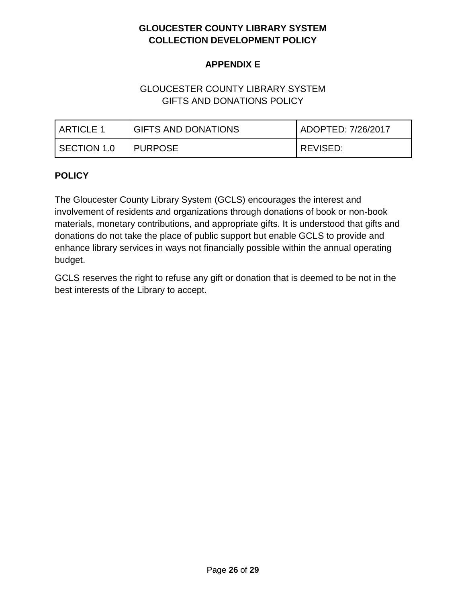## **APPENDIX E**

# GLOUCESTER COUNTY LIBRARY SYSTEM GIFTS AND DONATIONS POLICY

| <b>ARTICLE 1</b> | <b>GIFTS AND DONATIONS</b> | ADOPTED: 7/26/2017 |
|------------------|----------------------------|--------------------|
| SECTION 1.0      | <b>PURPOSE</b>             | REVISED:           |

### **POLICY**

The Gloucester County Library System (GCLS) encourages the interest and involvement of residents and organizations through donations of book or non-book materials, monetary contributions, and appropriate gifts. It is understood that gifts and donations do not take the place of public support but enable GCLS to provide and enhance library services in ways not financially possible within the annual operating budget.

GCLS reserves the right to refuse any gift or donation that is deemed to be not in the best interests of the Library to accept.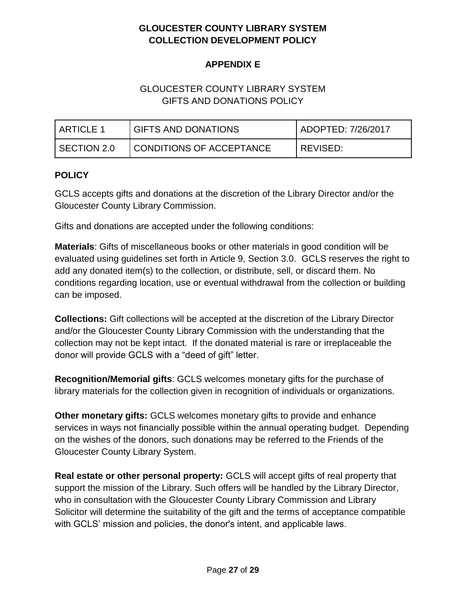## **APPENDIX E**

# GLOUCESTER COUNTY LIBRARY SYSTEM GIFTS AND DONATIONS POLICY

| ARTICLE 1   | <b>GIFTS AND DONATIONS</b> | ADOPTED: 7/26/2017 |
|-------------|----------------------------|--------------------|
| SECTION 2.0 | CONDITIONS OF ACCEPTANCE   | REVISED:           |

### **POLICY**

GCLS accepts gifts and donations at the discretion of the Library Director and/or the Gloucester County Library Commission.

Gifts and donations are accepted under the following conditions:

**Materials**: Gifts of miscellaneous books or other materials in good condition will be evaluated using guidelines set forth in Article 9, Section 3.0. GCLS reserves the right to add any donated item(s) to the collection, or distribute, sell, or discard them. No conditions regarding location, use or eventual withdrawal from the collection or building can be imposed.

**Collections:** Gift collections will be accepted at the discretion of the Library Director and/or the Gloucester County Library Commission with the understanding that the collection may not be kept intact. If the donated material is rare or irreplaceable the donor will provide GCLS with a "deed of gift" letter.

**Recognition/Memorial gifts**: GCLS welcomes monetary gifts for the purchase of library materials for the collection given in recognition of individuals or organizations.

**Other monetary gifts:** GCLS welcomes monetary gifts to provide and enhance services in ways not financially possible within the annual operating budget. Depending on the wishes of the donors, such donations may be referred to the Friends of the Gloucester County Library System.

**Real estate or other personal property:** GCLS will accept gifts of real property that support the mission of the Library. Such offers will be handled by the Library Director, who in consultation with the Gloucester County Library Commission and Library Solicitor will determine the suitability of the gift and the terms of acceptance compatible with GCLS' mission and policies, the donor's intent, and applicable laws.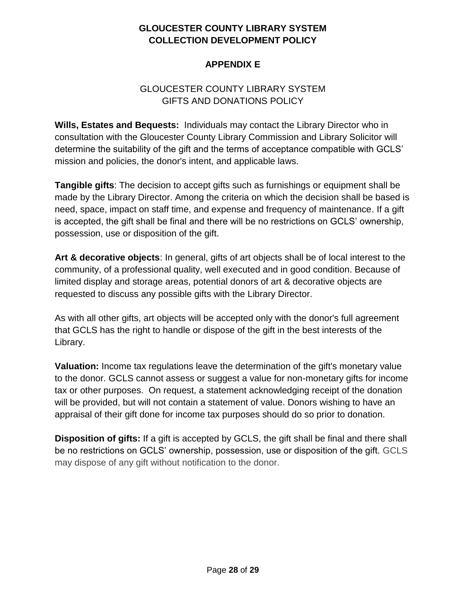## **APPENDIX E**

## GLOUCESTER COUNTY LIBRARY SYSTEM GIFTS AND DONATIONS POLICY

**Wills, Estates and Bequests:** Individuals may contact the Library Director who in consultation with the Gloucester County Library Commission and Library Solicitor will determine the suitability of the gift and the terms of acceptance compatible with GCLS' mission and policies, the donor's intent, and applicable laws.

**Tangible gifts**: The decision to accept gifts such as furnishings or equipment shall be made by the Library Director. Among the criteria on which the decision shall be based is need, space, impact on staff time, and expense and frequency of maintenance. If a gift is accepted, the gift shall be final and there will be no restrictions on GCLS' ownership, possession, use or disposition of the gift.

**Art & decorative objects**: In general, gifts of art objects shall be of local interest to the community, of a professional quality, well executed and in good condition. Because of limited display and storage areas, potential donors of art & decorative objects are requested to discuss any possible gifts with the Library Director.

As with all other gifts, art objects will be accepted only with the donor's full agreement that GCLS has the right to handle or dispose of the gift in the best interests of the Library.

**Valuation:** Income tax regulations leave the determination of the gift's monetary value to the donor. GCLS cannot assess or suggest a value for non-monetary gifts for income tax or other purposes. On request, a statement acknowledging receipt of the donation will be provided, but will not contain a statement of value. Donors wishing to have an appraisal of their gift done for income tax purposes should do so prior to donation.

**Disposition of gifts:** If a gift is accepted by GCLS, the gift shall be final and there shall be no restrictions on GCLS' ownership, possession, use or disposition of the gift. GCLS may dispose of any gift without notification to the donor.